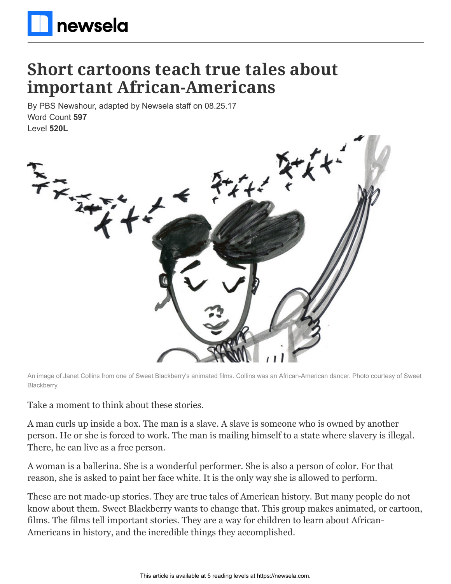

# **Short cartoons teach true tales about important African-Americans**

By PBS Newshour, adapted by Newsela staff on 08.25.17 Word Count **597** Level **520L**



An image of Janet Collins from one of Sweet Blackberry's animated films. Collins was an African-American dancer. Photo courtesy of Sweet Blackberry.

Take a moment to think about these stories.

A man curls up inside a box. The man is a slave. A slave is someone who is owned by another person. He or she is forced to work. The man is mailing himself to a state where slavery is illegal. There, he can live as a free person.

A woman is a ballerina. She is a wonderful performer. She is also a person of color. For that reason, she is asked to paint her face white. It is the only way she is allowed to perform.

These are not made-up stories. They are true tales of American history. But many people do not know about them. Sweet Blackberry wants to change that. This group makes animated, or cartoon, films. The films tell important stories. They are a way for children to learn about African-Americans in history, and the incredible things they accomplished.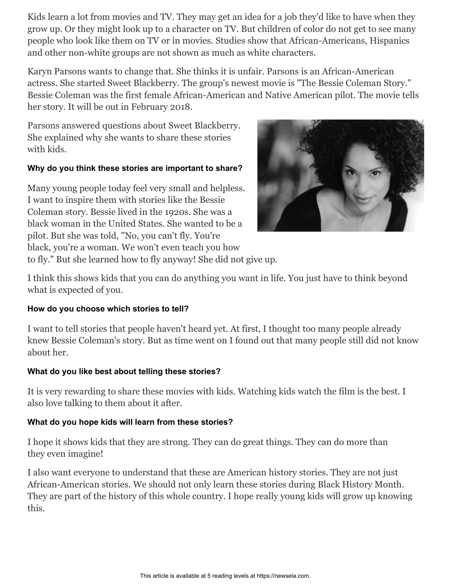Kids learn a lot from movies and TV. They may get an idea for a job they'd like to have when they grow up. Or they might look up to a character on TV. But children of color do not get to see many people who look like them on TV or in movies. Studies show that African-Americans, Hispanics and other non-white groups are not shown as much as white characters.

Karyn Parsons wants to change that. She thinks it is unfair. Parsons is an African-American actress. She started Sweet Blackberry. The group's newest movie is "The Bessie Coleman Story." Bessie Coleman was the first female African-American and Native American pilot. The movie tells her story. It will be out in February 2018.

Parsons answered questions about Sweet Blackberry. She explained why she wants to share these stories with kids.

## **Why do you think these stories are important to share?**

Many young people today feel very small and helpless. I want to inspire them with stories like the Bessie Coleman story. Bessie lived in the 1920s. She was a black woman in the United States. She wanted to be a pilot. But she was told, "No, you can't fly. You're black, you're a woman. We won't even teach you how to fly." But she learned how to fly anyway! She did not give up.



I think this shows kids that you can do anything you want in life. You just have to think beyond what is expected of you.

### **How do you choose which stories to tell?**

I want to tell stories that people haven't heard yet. At first, I thought too many people already knew Bessie Coleman's story. But as time went on I found out that many people still did not know about her.

### **What do you like best about telling these stories?**

It is very rewarding to share these movies with kids. Watching kids watch the film is the best. I also love talking to them about it after.

### **What do you hope kids will learn from these stories?**

I hope it shows kids that they are strong. They can do great things. They can do more than they even imagine!

I also want everyone to understand that these are American history stories. They are not just African-American stories. We should not only learn these stories during Black History Month. They are part of the history of this whole country. I hope really young kids will grow up knowing this.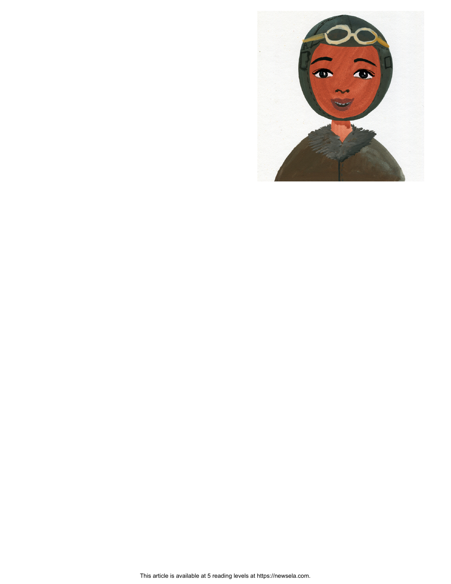